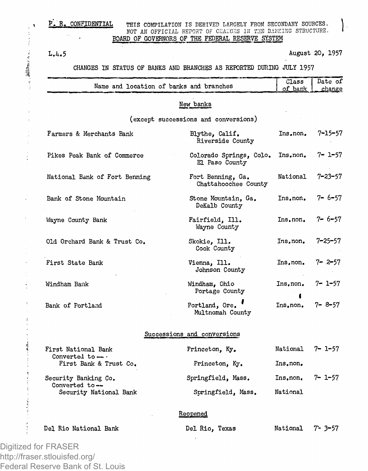## E. R. CONFIDENTIAL THIS COMPILATION IS DERIVED LARGELY FROM SECONDARY SOURCES. **NOT AN OFFICIAL REPORT OF CHANGES IN THE BANKING STRUCTURE.** BOARD OF GOVERNORS OF THE FEDERAL RESERVE SYSTEM

 $\ddot{.}$ 

「それは病院が、

L.4.5 August 20, 1957

# CHANGES IN STATUS OF BANKS AND BRANCHES AS REPORTED DURING JULY 1957

|                                                 | Name and location of banks and branches   | Class<br>of bank | Date of<br>change |
|-------------------------------------------------|-------------------------------------------|------------------|-------------------|
|                                                 | New banks                                 |                  |                   |
|                                                 | (except successions and conversions)      |                  |                   |
| Farmers & Merchants Bank                        | Blythe, Calif.<br>Riverside County        | Ins.non.         | $7 - 15 - 57$     |
| Pikes Peak Bank of Commerce                     | Colorado Springs, Colo.<br>El Paso County | Ins.non.         | 7- 1-57           |
| National Bank of Fort Benning                   | Fort Benning, Ga.<br>Chattahoochee County | National         | 7–23–57           |
| Bank of Stone Mountain                          | Stone Mountain, Ga.<br>DeKalb County      | Ins.non.         | $7 - 6 - 57$      |
| Wayne County Bank                               | Fairfield, Ill.<br>Wayne County           | Ins.non.         | $7 - 6 - 57$      |
| Old Orchard Bank & Trust Co.                    | Skokie, Ill.<br>Cook County               | Ins.non.         | 7–25–57           |
| First State Bank                                | Vienna, Ill.<br>Johnson County            | Ins.non.         | 7-2-57            |
| Windham Bank                                    | Windham, Ohio<br>Portage County           | Ins.non.         | 7- 1-57           |
| Bank of Portland                                | Portland, Ore.<br>Multnomah County        | Ins.non.         | $7 - 8 - 57$      |
|                                                 | Successions and conversions               |                  |                   |
| First National Bank                             | Princeton, Ky.                            | National         | 7– 1–57           |
| Converted to $-\cdot$<br>First Bank & Trust Co. | Princeton, Ky.                            | Ins.non.         |                   |
| Security Banking Co.                            | Springfield, Mass.                        | Ins.non.         | $7 - 1 - 57$      |
| Converted to --<br>Security National Bank       | Springfield, Mass.                        | National         |                   |
|                                                 | Reopened                                  |                  |                   |
| Del Rio National Bank                           | Del Rio. Texas                            | National         | 7- 3-57           |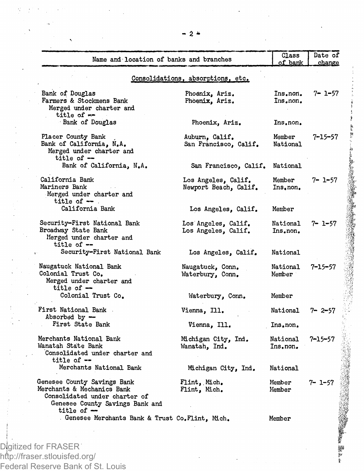| Name and location of banks and branches                                                                                                       |                                              | Class<br>of bank     | Date of<br>change |
|-----------------------------------------------------------------------------------------------------------------------------------------------|----------------------------------------------|----------------------|-------------------|
|                                                                                                                                               | Consolidations, absorptions, etc.            |                      |                   |
| Bank of Douglas<br>Farmers & Stockmens Bank<br>Merged under charter and<br>title of $-$                                                       | Phoenix, Ariz.<br>Phoenix, Ariz.             | Ins.non.<br>Ins.non. | $7 - 1 - 57$      |
| Bank of Douglas                                                                                                                               | Phoenix, Ariz.                               | Ins.non.             |                   |
| Placer County Bank<br>Bank of California, N.A.<br>Merged under charter and<br>title of $-$                                                    | Auburn, Calif.<br>San Francisco, Calif.      | Member<br>National   | $7 - 15 - 57$     |
| Bank of California, N.A.                                                                                                                      | San Francisco, Calif.                        | National             |                   |
| California Bank<br>Mariners Bank<br>Merged under charter and<br>title of $-$ .                                                                | Los Angeles, Calif.<br>Newport Beach, Calif. | Member<br>Ins.non.   | $7 - 1 - 57$      |
| California Bank                                                                                                                               | Los Angeles, Calif.                          | Member               |                   |
| Security-First National Bank<br>Broadway State Bank<br>Merged under charter and<br>title of $-$                                               | Los Angeles, Calif.<br>Los Angeles, Calif.   | National<br>Ins.non. | 7- 1-57           |
| Security-First National Bank                                                                                                                  | Los Angeles, Calif.                          | National             |                   |
| Naugatuck National Bank<br>Colonial Trust Co.<br>Merged under charter and<br>title of $-$                                                     | Naugatuck, Conn.<br>Waterbury, Conn.         | National<br>Member   | 7-15-57           |
| Colonial Trust Co.                                                                                                                            | Waterbury, Conn.                             | Member               |                   |
| First National Bank<br>Absorbed by -                                                                                                          | Vienna, Ill.                                 | National             | $7 - 2 - 57$      |
| First State Bank                                                                                                                              | Vienna, Ill.                                 | Ins.non.             |                   |
| Merchants National Bank<br>Wanatah State Bank<br>Consolidated under charter and<br>title of $-$                                               | Michigan City, Ind.<br>Wanatah, Ind.         | National<br>Ins.non. | 7–15–57           |
| Merchants National Bank                                                                                                                       | Michigan City, Ind.                          | National             |                   |
| Genesee County Savings Bank<br>Merchants & Mechanics Bank<br>Consolidated under charter of<br>Genesee County Savings Bank and<br>title of $-$ | Flint, Mich.<br>Flint, Mich.                 | Member<br>Member     | 7- 1-57           |
| . Genesee Merchants Bank & Trust Co.Flint, Mich.                                                                                              |                                              | Member               |                   |

in the second company of the company of the company of the company of the company of the company of

*w P*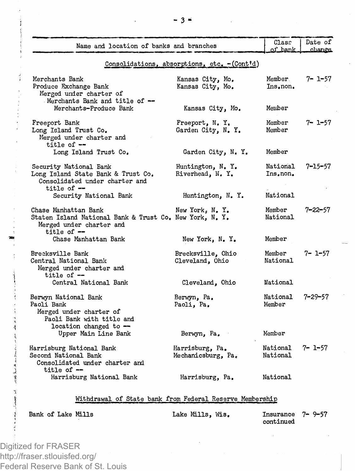| Name and location of banks and branches                                                                                     |                                              | Case<br>of bank      | Date of<br>change |
|-----------------------------------------------------------------------------------------------------------------------------|----------------------------------------------|----------------------|-------------------|
|                                                                                                                             | Consolidations, absorptions, etc. - (Cont'd) |                      |                   |
| Merchants Bank<br>Produce Exchange Bank<br>Merged under charter of<br>Merchants Bank and title of --                        | Kansas City, Mo.<br>Kansas City, Mo.         | Member.<br>Ins.non.  | 7- 1-57           |
| Merchants-Produce Bank                                                                                                      | Kansas City, Mo.                             | Member               |                   |
| Freeport Bank<br>Long Island Trust Co.<br>Merged under charter and<br>title of $-$                                          | Freeport, N.Y.<br>Garden City, N. Y.         | Member<br>Member     | 7- 1-57           |
| Long Island Trust Co.                                                                                                       | Garden City, N. Y.                           | Member               |                   |
| Security National Bank<br>Long Island State Bank & Trust Co.<br>Consolidated under charter and<br>title of $-$              | Huntington, N. Y.<br>Riverhead, N.Y.         | National<br>Ins.non. | $7 - 15 - 57$     |
| Security National Bank                                                                                                      | Huntington, N.Y.                             | National             |                   |
| Chase Manhattan Bank<br>Staten Island National Bank & Trust Co. New York, N. Y.<br>Merged under charter and<br>title of $-$ | New York, N.Y.                               | Member<br>National   | $7 - 22 - 57$     |
| Chase Manhattan Bank                                                                                                        | New York, N.Y.                               | Member               |                   |
| Brecksville Bank<br>Central National Bank<br>Merged under charter and<br>title of $-$                                       | Brecksville, Ohio<br>Cleveland, Ohio         | Member<br>National   | $7 - 1 - 57$      |
| Central National Bank                                                                                                       | Cleveland, Ohio                              | National             |                   |
| Berwyn National Bank<br>Paoli Bank<br>Merged under charter of<br>Paoli Bank with title and<br>location changed to -         | Berwyn, Pa.<br>Paoli, Pa.                    | National<br>Member   | $7 - 29 - 57$     |
| Upper Main Line Bank                                                                                                        | Berwyn, Pa.                                  | Member               |                   |
| Harrisburg National Bank<br>Second National Bank<br>Consolidated under charter and<br>title of --                           | Harrisburg, Pa.<br>Mechanicsburg, Pa.        | National<br>National | $7 - 1 - 57$      |
| Harrisburg National Bank                                                                                                    | Harrisburg, Pa.                              | National             |                   |

# Withdrawal of State bank from Federal Reserve Membership

Bank of Lake Mills **Lake Mills, Wis, Insurance 7-9-57** continued

Digitized for FRASER http://fraser.stlouisfed.org/ Federal Reserve Bank of St. Louis

200 大小草 小小草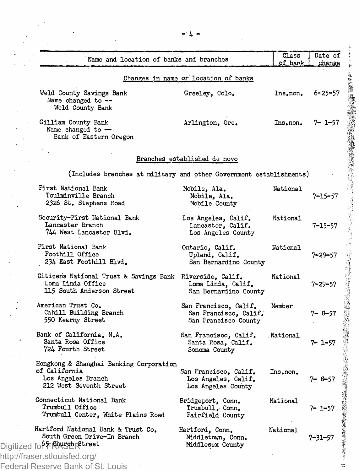| Name and location of banks and branches                                                                    |                                                                        | Class<br>of bank | Date of<br>change                                                                                                    |
|------------------------------------------------------------------------------------------------------------|------------------------------------------------------------------------|------------------|----------------------------------------------------------------------------------------------------------------------|
|                                                                                                            | Changes in name or location of banks                                   |                  |                                                                                                                      |
| Weld County Savings Bank<br>Name changed to --<br>Weld County Bank                                         | Greeley, Colo.                                                         | Ins.non.         | $6 - 25 - 57$                                                                                                        |
| Gilliam County Bank<br>Name changed to $-$<br>Bank of Eastern Oregon                                       | Arlington, Ore.                                                        | Ins.non.         | 7- 1-57                                                                                                              |
|                                                                                                            | Branches established de novo                                           |                  |                                                                                                                      |
| (Includes branches at military and other Government establishments)                                        |                                                                        |                  |                                                                                                                      |
| First National Bank<br>Toulminville Branch<br>2326 St. Stephens Road                                       | Mobile, Ala.<br>Mobile, Ala.<br>Mobile County                          | National         | $7 - 15 - 57$                                                                                                        |
| Security-First National Bank<br>Lancaster Branch<br>744 West Lancaster Blvd.                               | Los Angeles, Calif.<br>Lancaster, Calif.<br>Los Angeles County         | National         | 7–15–57                                                                                                              |
| First National Bank<br>Foothill Office<br>234 East Foothill Blvd.                                          | Ontario, Calif.<br>Upland, Calif.<br>San Bernardino County             | National         | $7 - 29 - 57$                                                                                                        |
| Citizens National Trust & Savings Bank Riverside, Calif.<br>Loma Linda Office<br>115 South Anderson Street | Loma Linda, Calif.<br>San Bernardino County                            | National         | 7–29–57                                                                                                              |
| American Trust Co.<br>Cahill Building Branch<br>550 Kearny Street                                          | San Francisco, Calif.<br>San Francisco, Calif.<br>San Francisco County | Member           | 7-8-57                                                                                                               |
| Bank of California, N.A.<br>Santa Rosa Office<br>724 Fourth Street                                         | San Francisco, Calif.<br>Santa Rosa, Calif.<br>Sonoma County           | National         | ついて、「このこのは、このようなので、このこのは、このことは、このことは、このことは、このことは、このことは、このことは、このことは、このことは、このことは、このことは、このことは、このことは、このこ<br>$7 - 1 - 57$ |
| Hongkong & Shanghai Banking Corporation<br>of California<br>Los Angeles Branch<br>212 West Seventh Street  | San Francisco, Calif.<br>Los Angeles, Calif.<br>Los Angeles County     | Ins.non.         | 7-8-57                                                                                                               |
| Connecticut National Bank<br>Trumbull Office<br>Trumbull Center, White Plains Road                         | Bridgeport, Conn.<br>Trumbull, Conn.<br>Fairfield County               | National         | 7- 1-57                                                                                                              |
| Hartford National Bank & Trust Co.<br>South Green Drive-In Branch                                          | Hartford, Conn.<br>Middletown, Conn.<br>Middlesex County               | National         | $7 - 31 - 57$                                                                                                        |
| Digitized for Franch Street<br>http://fraser.stlouisfed.org/<br>Federal Reserve Bank of St. Louis          |                                                                        |                  |                                                                                                                      |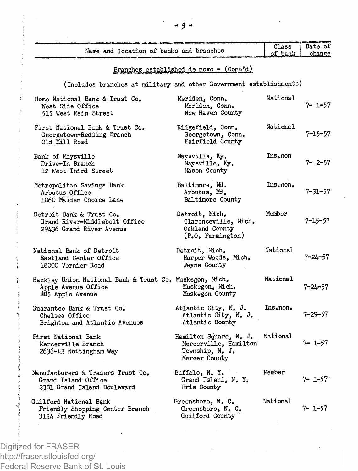|                                         | Class   Date of |  |
|-----------------------------------------|-----------------|--|
| Name and location of banks and branches | of bank change  |  |
|                                         |                 |  |

# Branches established de novo - (Cont'd)

(Includes branches at military and other Government establishments)

| Home National Bank & Trust Co.<br>West Side Office<br>515 West Main Street                         | Meriden, Conn.<br>Meriden, Conn.<br>Now Haven County                                | National | $7 - 1 - 57$  |
|----------------------------------------------------------------------------------------------------|-------------------------------------------------------------------------------------|----------|---------------|
| First National Bank & Trust Co.<br>Georgetown-Redding Branch<br>Old Mill Road                      | Ridgefield, Conn.<br>Georgetown, Conn.<br>Fairfield County                          | National | 7-15-57       |
| Bank of Maysville<br>Drive-In Branch<br>12 West Third Street                                       | Maysville, Ky.<br>Maysville, Ky.<br>Mason County                                    | Ins.non  | $7 - 2 - 57$  |
| Metropolitan Savings Bank<br>Arbutus Office<br>1060 Maiden Choice Lane                             | Baltimore, Md.<br>Arbutus, Md.<br>Baltimore County                                  | Ins.non. | $7 - 31 - 57$ |
| Detroit Bank & Trust Co.<br>Grand River-Middlebelt Office<br>29436 Grand River Avenue              | Detroit, Mich.<br>Clarenceville, Mich.<br>Oakland County<br>(P.O. Farmington)       | Member   | $7 - 15 - 57$ |
| National Bank of Detroit<br>Eastland Center Office<br>18000 Vernier Road                           | Detroit, Mich.<br>Harper Woods, Mich.<br>Wayne County                               | National | $7 - 24 - 57$ |
| Hackley Union National Bank & Trust Co. Muskegon, Mich.<br>Apple Avenue Office<br>885 Apple Avenue | Muskegon, Mich.<br>Muskegon County                                                  | National | $7 - 24 - 57$ |
| Guarantee Bank & Trust Co.<br>Chelsea Office<br>Brighton and Atlantic Avenues                      | Atlantic City, N. J.<br>Atlantic City, N. J.<br>Atlantic County                     | Ins.non. | $7 - 29 - 57$ |
| First National Bank<br>Mercerville Branch<br>2636-42 Nottingham Way                                | Hamilton Square, N. J.<br>Mercerville, Hamilton<br>Township, N. J.<br>Mercer County | National | $7 - 1 - 57$  |
| Manufacturers & Traders Trust Co.<br>Grand Island Office<br>2381 Grand Island Boulevard            | Buffalo, N.Y.<br>Grand Island. N. Y.<br>Erie County                                 | Member   | $7 - 1 - 57$  |
| Guilford National Bank<br>Friendly Shopping Center Branch<br>3124 Friendly Road                    | Greensboro, N. C.<br>Greensboro, N. C.<br>Guilford County                           | National | $7 - 1 - 57$  |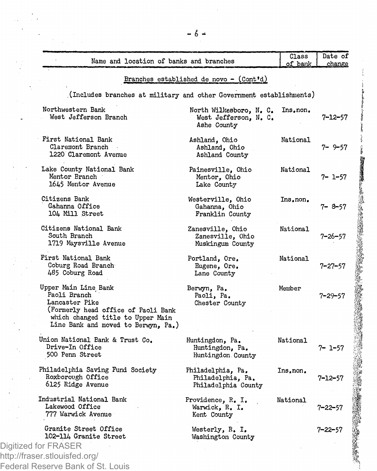| Name and location of banks and branches                                                                                                                                   |                                                                 | Class<br>of bank | Date of<br>change |
|---------------------------------------------------------------------------------------------------------------------------------------------------------------------------|-----------------------------------------------------------------|------------------|-------------------|
|                                                                                                                                                                           | Branches established de novo - (Cont'd)                         |                  |                   |
| (Includes branches at military and other Government establishments)                                                                                                       |                                                                 |                  |                   |
| Northwestern Bank<br>West Jefferson Branch                                                                                                                                | North Wilkesboro, N. C.<br>West Jefferson, N. C.<br>Ashe County | Ins.non.         | $7 - 12 - 57$     |
| First National Bank<br>Claremont Branch<br>1220 Claremont Avenue                                                                                                          | Ashland, Ohio<br>Ashland, Ohio<br>Ashland County                | National         | $7 - 9 - 57$      |
| Lake County National Bank<br>Mentor Branch<br>1645 Mentor Avenue                                                                                                          | Painesville, Ohio<br>Mentor, Ohio<br>Lake County                | National         | 7- 1-57           |
| Citizens Bank<br>Gahanna Office<br>104 Mill Street                                                                                                                        | Westerville, Ohio<br>Gahanna, Ohio<br>Franklin County           | Ins.non.         | 7-8-57            |
| Citizens National Bank<br>South Branch<br>1719 Maysville Avenue                                                                                                           | Zanesville, Ohio<br>Zanesville, Ohio<br>Muskingum County        | National         | $7 - 26 - 57$     |
| First National Bank<br>Coburg Road Branch<br>485 Coburg Road                                                                                                              | Portland, Ore,<br>Eugene, Ore.<br>Lane County                   | National         | $7 - 27 - 57$     |
| Upper Main Line Bank<br>Paoli Branch<br>Lancaster Pike<br>(Formerly head office of Paoli Bank<br>which changed title to Upper Main<br>Line Bank and moved to Berwyn, Pa.) | Berwyn, Pa.<br>Paoli, Pa.<br>Chester County                     | Member           | 7–29–57           |
| Union National Bank & Trust Co.<br>Drive-In Office<br>500 Penn Street                                                                                                     | Huntingdon, Pa.<br>Huntingdon, Pa.<br>Huntingdon County         | National         | $7 - 1 - 57$      |
| Philadelphia Saving Fund Society<br>Roxborough Office<br>6125 Ridge Avenue                                                                                                | Philadelphia, Pa.<br>Philadelphia, Pa.<br>Philadelphia County   | Ins.non.         | 7-12-57           |
| Industrial National Bank<br>Lakewood Office<br>777 Warwick Avenue                                                                                                         | Providence, R. I.<br>Warwick, R. I.<br>Kent County              | National         | 7–22–57           |
| Granite Street Office<br>102-114 Granite Street<br>Digitized for FRASER                                                                                                   | Westerly, R. I.<br>Washington County                            |                  | 7–22–57           |

19

http://fraser.stlouisfed.org/ Federal Reserve Bank of St. Louis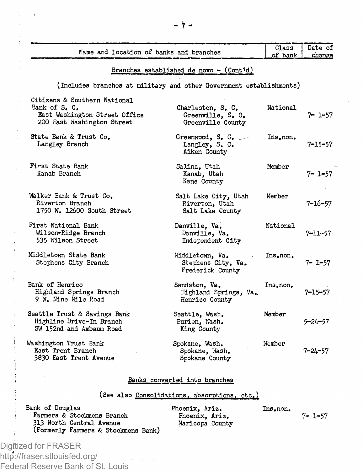| Name and location of banks and branches                                                                      |                                                             | Class<br>of bank | Date of<br>change |
|--------------------------------------------------------------------------------------------------------------|-------------------------------------------------------------|------------------|-------------------|
|                                                                                                              | Branches established de novo - $(Cont^{\dagger}d)$          |                  |                   |
| (Includes branches at military and other Government establishments)                                          |                                                             |                  |                   |
| Citizens & Southern National<br>Bank of S. C.<br>East Washington Street Office<br>200 East Washington Street | Charleston, S. C.<br>Greenville, S. C.<br>Greenville County | National         | 7- 1-57           |
| State Bank & Trust Co.<br>Langley Branch                                                                     | Greenwood, S.C.<br>Langley, S. C.<br>Aiken County           | Ins.non.         | $7 - 15 - 57$     |
| First State Bank<br>Kanab Branch                                                                             | Salina, Utah<br>Kanab, Utah<br>Kane County                  | Member           | $7 - 1 - 57$      |
| Walker Bank & Trust Co.<br>Riverton Branch<br>1750 W. 12600 South Street                                     | Salt Lake City, Utah<br>Riverton, Utah<br>Salt Lake County  | Member           | $7 - 16 - 57$     |
| First National Bank<br>Wilson-Ridge Branch<br>535 Wilson Street                                              | Danville, Va.<br>Danville, Va.<br>Independent City          | National         | 7–11–57           |

535 Wilson Street Middletown State Bank Stephens City Branch Bank of Henrico Highland Springs Branch 9 W, Nine Mile Road Seattle Trust & Savings Bank Highline Drive-In Branch SW 152nd and Ambaum Road Middletown, Va. Stephens City, Va, Frederick County Sandston, Va. Highland Springs, Va.. Henrico County Seattle, Wash. Burien, Wash, King County Ins.non. Ins.non, Member Member 7- 1-57 7-15-57 5-24-57

Washington Trust Bank East Trent Branch 3830 East Trent Avenue Spokane, Wash, Spokane, Wash. Spokane County 7-24-57

#### Banks converted into branches

## (See also Consolidations, absorptions, etc.)

| Bank of Douglas                     | Phoenix, Ariz.  | Ins.non. |              |
|-------------------------------------|-----------------|----------|--------------|
| Farmers & Stockmens Branch          | Phoenix, Ariz.  |          | $7 - 1 - 57$ |
| 313 North Central Avenue            | Maricopa County |          |              |
| (Formerly Farmers & Stockmens Bank) |                 |          |              |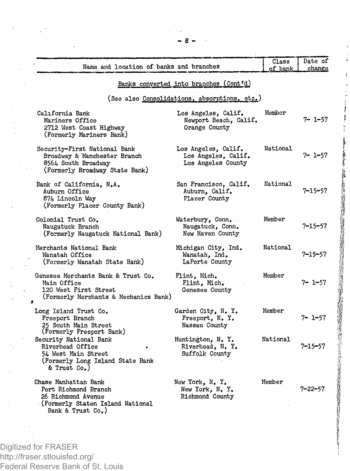| Name and location of banks and branches                                                                                     |                                                                  | Class<br>of bank | Date of<br>change |
|-----------------------------------------------------------------------------------------------------------------------------|------------------------------------------------------------------|------------------|-------------------|
|                                                                                                                             | Banks converted into branches (Cont'd)                           |                  |                   |
|                                                                                                                             | (See also Consolidations, absorptions, etc.)                     |                  |                   |
| Calıfornia Bank<br>Mariners Office<br>2712 West Coast Highway<br>(Formerly Mariners Bank)                                   | Los Angeles, Calif.<br>Newport Beach, Calif.<br>Orange County    | Member           | 7- 1-57           |
| Security-First National Bank<br>Broadway & Manchester Branch<br>8564 South Broadway<br>(Formerly Broadway State Bank)       | Los Angeles, Calif.<br>Los Angeles, Calif.<br>Los Angeles County | National         | 7- 1-57           |
| Bank of California, N.A.<br>Auburn Office<br>874 Lincoln Way<br>(Formerly Placer County Bank)                               | San Francisco, Calif.<br>Auburn, Calif.<br>Placer County         | National         | 7–15–57           |
| Colonial Trust Co.<br>Naugatuck Branch<br>(Formerly Naugatuck National Bank)                                                | Waterbury, Conn.<br>Naugatuck, Conn.<br>New Haven County         | Member           | 7–15–57           |
| Merchants National Bank<br>Wanatah Office<br>(Formerly Wanatah State Bank)                                                  | Michigan City, Ind.<br>Wanatah, Ind.<br>LaPorte County           | National         | $7 - 15 - 57$     |
| Genesee Merchants Bank & Trust Co.<br>Main Office<br>120 West First Street<br>(Formerly Merchants & Mechanics Bank)         | Flint, Mich.<br>Flint, Mich.<br>Genesee County                   | Member           | $7 - 1 - 57$      |
| Long Island Trust Co.<br>Freeport Branch<br>25 South Main Street<br>(Formerly Freeport Bank)                                | Garden City, N. Y.<br>Freeport, N.Y.<br>Nassau County            | Member           | 7- 1-57           |
| Security National Bank<br>Riverhead Office<br>54 West Main Street<br>(Formerly Long Island State Bank<br>& Trust Co.)       | Huntington, N.Y.<br>Riverhead, N.Y.<br>Suffolk County            | National         | $7 - 15 - 57$     |
| Chase Manhattan Bank<br>Port Richmond Branch<br>26 Richmond Avenue<br>(Formerly Staten Island National<br>Bank & Trust Co.) | New York, N.Y.<br>New York, N. Y.<br>Richmond County             | Member           | 7–22–57           |

**I** 

Digitized for FRASER http://fraser.stlouisfed.org/ Federal Reserve Bank of St. Louis **- 8 -**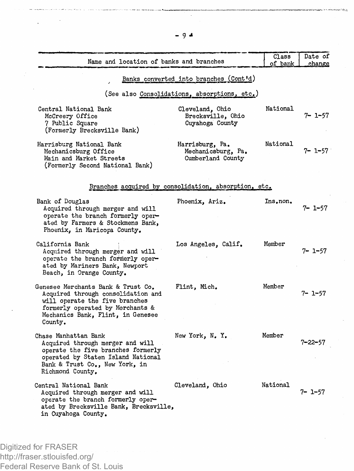| Name and location of banks and branches                                                                                                                                                        |                                                            | Class<br>of bank | Date of<br>change |
|------------------------------------------------------------------------------------------------------------------------------------------------------------------------------------------------|------------------------------------------------------------|------------------|-------------------|
|                                                                                                                                                                                                | Banks converted into branches (Cont'd)                     |                  |                   |
|                                                                                                                                                                                                | (See also Consolidations, absorptions, etc.)               |                  |                   |
| Central National Bank<br>McCreery Office<br>7 Public Square<br>(Formerly Brecksville Bank)                                                                                                     | Cleveland, Ohio<br>Brecksville, Ohio<br>Cuyahoga County    | National         | 7- 1-57           |
| Harrisburg National Bank<br>Mechanicsburg Office<br>Main and Market Streets<br>(Formerly Second National Bank)                                                                                 | Harrisburg, Pa.<br>Mechanicsburg, Pa.<br>Cumberland County | National         | 7- 1-57           |
|                                                                                                                                                                                                | Branches acquired by consolidation, absorption, etc.       |                  |                   |
| Bank of Douglas<br>Acquired through merger and will<br>operate the branch formerly oper-<br>ated by Farmers & Stockmens Bank,<br>Phoenix, in Maricopa County.                                  | Phoenix, Ariz.                                             | Ins.non.         | $7 - 1 - 57$      |
| California Bank<br>Acquired through merger and will<br>operate the branch formerly oper-<br>ated by Mariners Bank, Newport<br>Beach, in Orange County.                                         | Los Angeles, Calif.                                        | Member           | 7- 1-57           |
| Genesee Merchants Bank & Trust Co.<br>Acquired through consolidation and<br>will operate the five branches<br>formerly operated by Merchants &<br>Mechanics Bank, Flint, in Genesee<br>County. | Flint, Mich.                                               | Member           | 7- 1-57           |
| Chase Manhattan Bank<br>Acquired through merger and will<br>operate the five branches formerly<br>operated by Staten Island National<br>Bank & Trust Co., New York, in<br>Richmond County.     | New York, N.Y.                                             | Member           | 7–22–57           |
| Central National Bank<br>Acquired through merger and will<br>operate the branch formerly oper-<br>ated by Brecksville Bank, Brecksville,<br>in Cuyahoga County.                                | Cleveland, Ohio                                            | National         | 7- 1-57           |

Digitized for FRASER http://fraser.stlouisfed.org/ Federal Reserve Bank of St. Louis **- 9 \***

tén.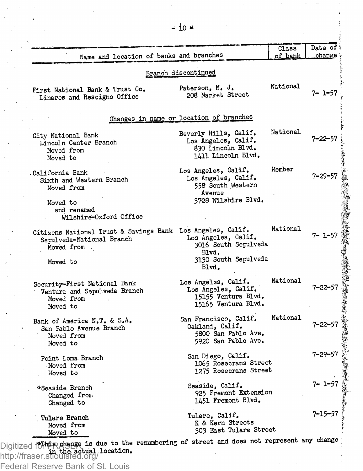| Name and location of banks and branches                                                                                                      |                                                                                                  | Class<br>of bank | Date of !<br>change |
|----------------------------------------------------------------------------------------------------------------------------------------------|--------------------------------------------------------------------------------------------------|------------------|---------------------|
|                                                                                                                                              | Branch discontinued                                                                              |                  |                     |
| First National Bank & Trust Co.<br>Linares and Rescigno Office                                                                               | Paterson, N. J.<br>208 Market Street                                                             | National         | 7- 1-57             |
|                                                                                                                                              | Changes in name or location of branches                                                          |                  |                     |
| City National Bank<br>Lincoln Center Branch<br>Moved from<br>Moved to                                                                        | Beverly Hills, Calif.<br>Los Angeles, Calif.<br>830 Lincoln Blvd.<br>1411 Lincoln Blvd.          | National         | 7–22–57             |
| California Bank<br>Sixth and Western Branch<br>Moved from<br>Moved to<br>and renamed                                                         | Los Angeles, Calif.<br>Los Angeles, Calif.<br>558 South Western<br>Avenue<br>3728 Wilshire Blvd. | Member           | $7 - 29 - 57$       |
| Wilshire-Oxford Office<br>Citizens National Trust & Savings Bank Los Angeles, Calif.<br>Serulveda-National Branch<br>Moved from.<br>Moved to | Los Angeles, Calif.<br>3016 South Sepulveda<br>Blvd.<br>3130 South Sepulveda<br>Blvd.            | National         | 7- 1-57             |
| Security-First National Bank<br>Ventura and Sepulveda Branch<br>Moved from<br>Moved to                                                       | Los Angeles, Calif.<br>Los Angeles, Calif.<br>15155 Ventura Blvd.<br>15165 Ventura Blvd.         | National         | 7–22–57             |
| Bank of America N.T. & S.A.<br>San Pablo Avenue Branch<br>Moved from<br>Moved to                                                             | San Francisco, Calif.<br>Oakland, Calif.<br>5800 San Pablo Ave.<br>5920 San Pablo Ave.           | National         | 7–22–57             |
| Point Loma Branch<br>Moved from<br>Moved to                                                                                                  | San Diego, Calif.<br>1065 Rosecrans Street<br>1275 Rosecrans Street                              |                  | $7 - 29 - 57$       |
| *Seaside Branch<br>Changed from<br>Changed to                                                                                                | Seaside, Calif.<br>925 Fremont Extension<br>1451 Fremont Blvd.                                   |                  | 7- 1-57             |
| Tulare Branch<br>Moved from<br>Moved to                                                                                                      | Tulare, Calif.<br>K & Kern Streets<br>303 East Tulare Street                                     |                  | 7–15–57             |

\*This change is due to the in the actual location. Digitized for the potange is due to the renumbering of street and does not represent any change http://fraser.stlouisfed.org/

Federal Reserve Bank of St. Louis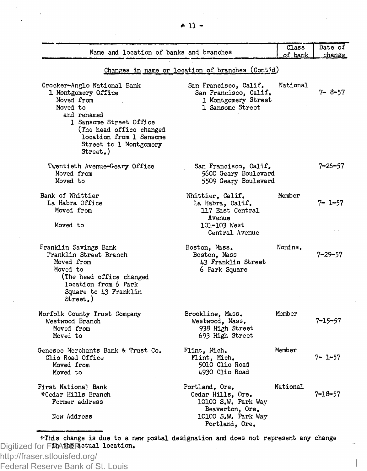| Name and location of banks and branches                                                                                                                                                                             |                                                                                                                        |          | Date of<br>change |  |  |
|---------------------------------------------------------------------------------------------------------------------------------------------------------------------------------------------------------------------|------------------------------------------------------------------------------------------------------------------------|----------|-------------------|--|--|
| Changes in name or location of branches (Cont'd)                                                                                                                                                                    |                                                                                                                        |          |                   |  |  |
| Crocker-Anglo National Bank<br>1 Montgomery Office<br>Moved from<br>Moved to<br>and renamed<br>1 Sansome Street Office<br>(The head office changed<br>location from 1 Sansome<br>Street to 1 Montgomery<br>Street.) | San Francisco, Calif.<br>San Francisco, Calif.<br>1 Montgomery Street<br>1 Sansome Street                              | National | 7-8-57            |  |  |
| Twentieth Avenue-Geary Office<br>Moved from<br>Moved to                                                                                                                                                             | San Francisco, Calif.<br>5600 Geary Boulevard<br>5509 Geary Boulevard                                                  |          | 7–26–57           |  |  |
| Bank of Whittier<br>La Habra Office<br>Moved from<br>Moved to                                                                                                                                                       | Whittier, Calif.<br>La Habra, Calif.<br>117 East Central<br>Avenue<br>101-103 West<br>Central Avenue                   | Member   | 7- 1-57           |  |  |
| Franklin Savings Bank<br>Franklin Street Branch<br>Moved from<br>Moved to<br>(The head office changed<br>location from 6 Park<br>Square to 43 Franklin<br>Street.)                                                  | Boston, Mass.<br>Boston, Mass<br>43 Franklin Street<br>6 Park Square                                                   | Nonins.  | 7–29–57           |  |  |
| Norfolk County Trust Company<br>Westwood Branch<br>Moved from<br>Moved to                                                                                                                                           | Brookline, Mass.<br>Westwood, Mass.<br>938 High Street<br>693 High Street                                              | Member   | 7–15–57           |  |  |
| Genesee Merchants Bank & Trust Co.<br>Clio Road Office<br>Moved from<br>Moved to                                                                                                                                    | Flint, Mich.<br>Flint, Mich.<br>5010 Clio Road<br>4930 Clio Road                                                       | Member   | 7- 1-57           |  |  |
| First National Bank<br>*Cedar Hills Branch<br>Former address<br>New Address                                                                                                                                         | Portland, Ore.<br>Cedar Hills, Ore.<br>10100 S.W. Park Way<br>Beaverton, Ore.<br>10100 S.W. Park Way<br>Portland, Ore. | National | 7–18–57           |  |  |

\*This change is due to a new postal designation and does not represent any change Digitized for FRASER in the actual location.

http://fraser.stlouisfed.org/ Federal Reserve Bank of St. Louis